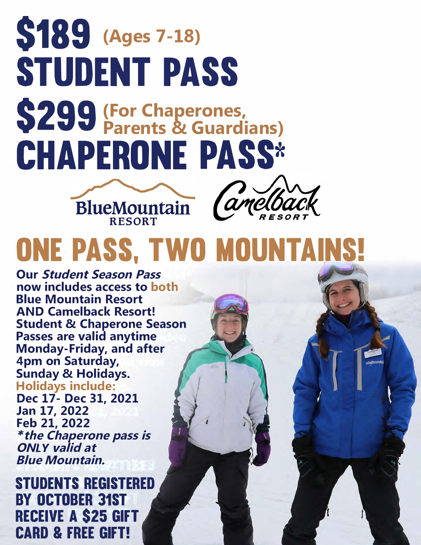### **\$189** (Ages 7-18) **STUDENT PASS**  \$299 **(For Chaperones, Parents & Guardians) CHAPERONE PASS\***





## **ONE PASS, TWO MOUNTAINS!**

**Our Student Season Pass now includes access to both Blue Mountain Resort AND Camelback Resort! Student & Chaperone Season Passes are valid anytime Monday-Friday, and after 4pm on Saturday, Sunday & Holidays. Holidays include: Dec 17- Dec 31, 2021 Jan 17, 2022 Feb 21, 2022**  *\****the Chaperone pass is ON***LY* **valid at Blue Mountain.**

**STUDENTS REGISTERED BY OCTOBER 31ST RECEIVE A \$25 GIFT CARD & FREE GIFT!**